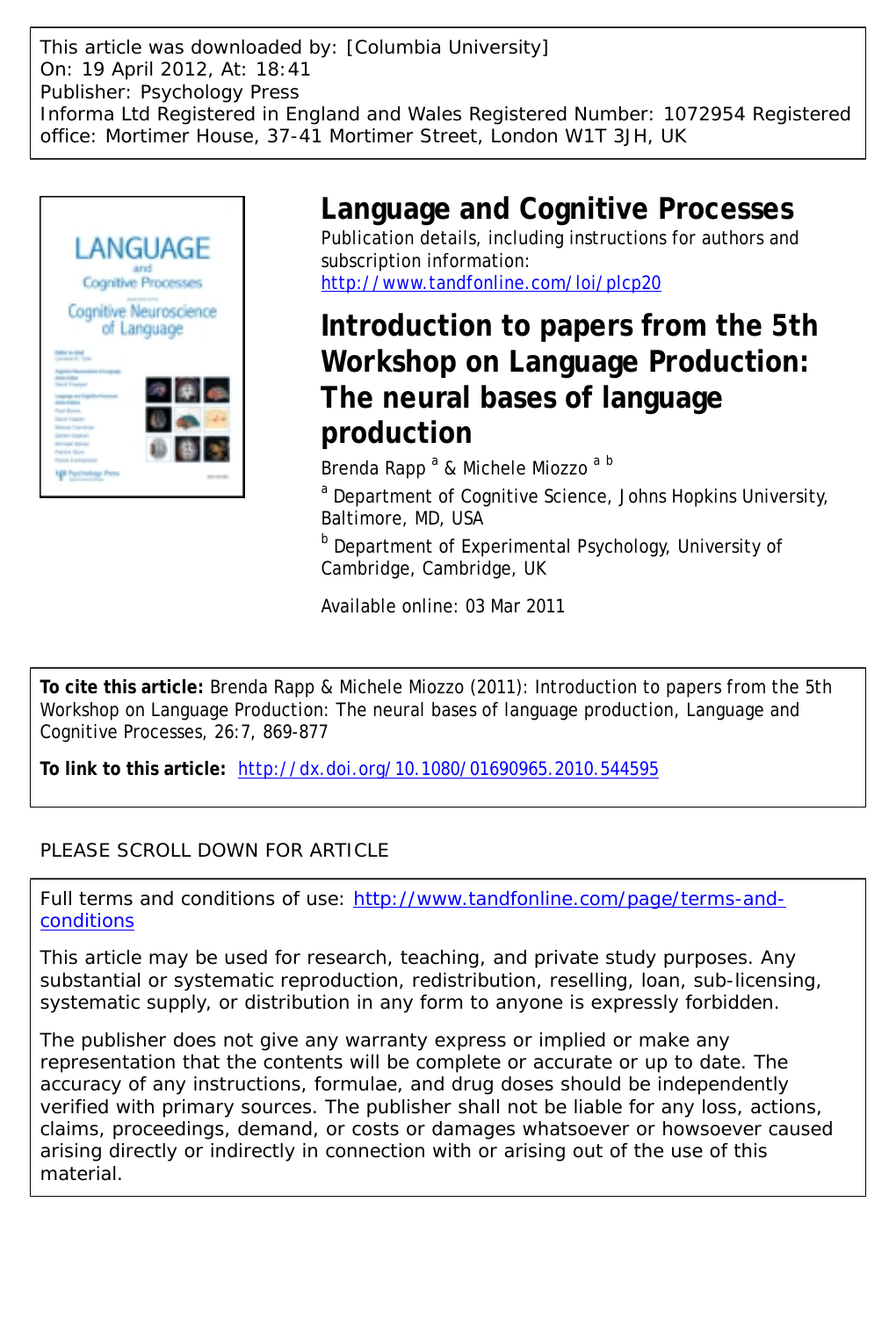This article was downloaded by: [Columbia University] On: 19 April 2012, At: 18:41 Publisher: Psychology Press Informa Ltd Registered in England and Wales Registered Number: 1072954 Registered office: Mortimer House, 37-41 Mortimer Street, London W1T 3JH, UK



# **Language and Cognitive Processes**

Publication details, including instructions for authors and subscription information: <http://www.tandfonline.com/loi/plcp20>

# **Introduction to papers from the 5th Workshop on Language Production: The neural bases of language production**

Brenda Rapp <sup>a</sup> & Michele Miozzo <sup>a b</sup>

<sup>a</sup> Department of Cognitive Science, Johns Hopkins University, Baltimore, MD, USA

**b** Department of Experimental Psychology, University of Cambridge, Cambridge, UK

Available online: 03 Mar 2011

**To cite this article:** Brenda Rapp & Michele Miozzo (2011): Introduction to papers from the 5th Workshop on Language Production: The neural bases of language production, Language and Cognitive Processes, 26:7, 869-877

**To link to this article:** <http://dx.doi.org/10.1080/01690965.2010.544595>

## PLEASE SCROLL DOWN FOR ARTICLE

Full terms and conditions of use: [http://www.tandfonline.com/page/terms-and](http://www.tandfonline.com/page/terms-and-conditions)[conditions](http://www.tandfonline.com/page/terms-and-conditions)

This article may be used for research, teaching, and private study purposes. Any substantial or systematic reproduction, redistribution, reselling, loan, sub-licensing, systematic supply, or distribution in any form to anyone is expressly forbidden.

The publisher does not give any warranty express or implied or make any representation that the contents will be complete or accurate or up to date. The accuracy of any instructions, formulae, and drug doses should be independently verified with primary sources. The publisher shall not be liable for any loss, actions, claims, proceedings, demand, or costs or damages whatsoever or howsoever caused arising directly or indirectly in connection with or arising out of the use of this material.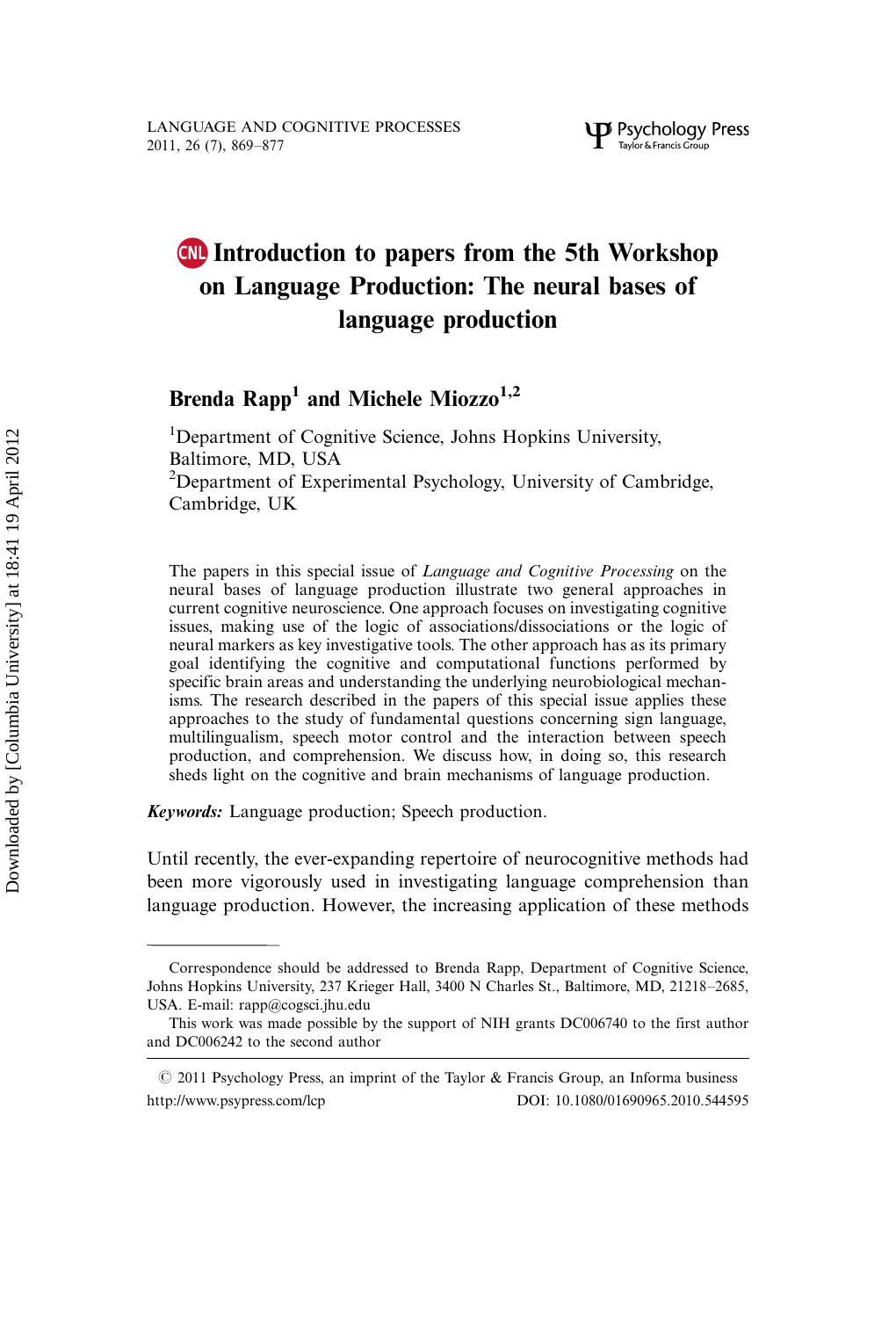# Introduction to papers from the 5th Workshop on Language Production: The neural bases of language production

# Brenda Rapp<sup>1</sup> and Michele Miozzo<sup>1,2</sup>

<sup>1</sup>Department of Cognitive Science, Johns Hopkins University, Baltimore, MD, USA <sup>2</sup>Department of Experimental Psychology, University of Cambridge, Cambridge, UK

The papers in this special issue of Language and Cognitive Processing on the neural bases of language production illustrate two general approaches in current cognitive neuroscience. One approach focuses on investigating cognitive issues, making use of the logic of associations/dissociations or the logic of neural markers as key investigative tools. The other approach has as its primary goal identifying the cognitive and computational functions performed by specific brain areas and understanding the underlying neurobiological mechanisms. The research described in the papers of this special issue applies these approaches to the study of fundamental questions concerning sign language, multilingualism, speech motor control and the interaction between speech production, and comprehension. We discuss how, in doing so, this research sheds light on the cognitive and brain mechanisms of language production.

Keywords: Language production; Speech production.

Until recently, the ever-expanding repertoire of neurocognitive methods had been more vigorously used in investigating language comprehension than language production. However, the increasing application of these methods

Correspondence should be addressed to Brenda Rapp, Department of Cognitive Science, Johns Hopkins University, 237 Krieger Hall, 3400 N Charles St., Baltimore, MD, 21218-2685, USA. E-mail: rapp@cogsci.jhu.edu

This work was made possible by the support of NIH grants DC006740 to the first author and DC006242 to the second author

 $\odot$  2011 Psychology Press, an imprint of the Taylor & Francis Group, an Informa business [http://www.psypress.com/lcp](http://www.psypress.com/ecp) DOI: 10.1080/01690965.2010.544595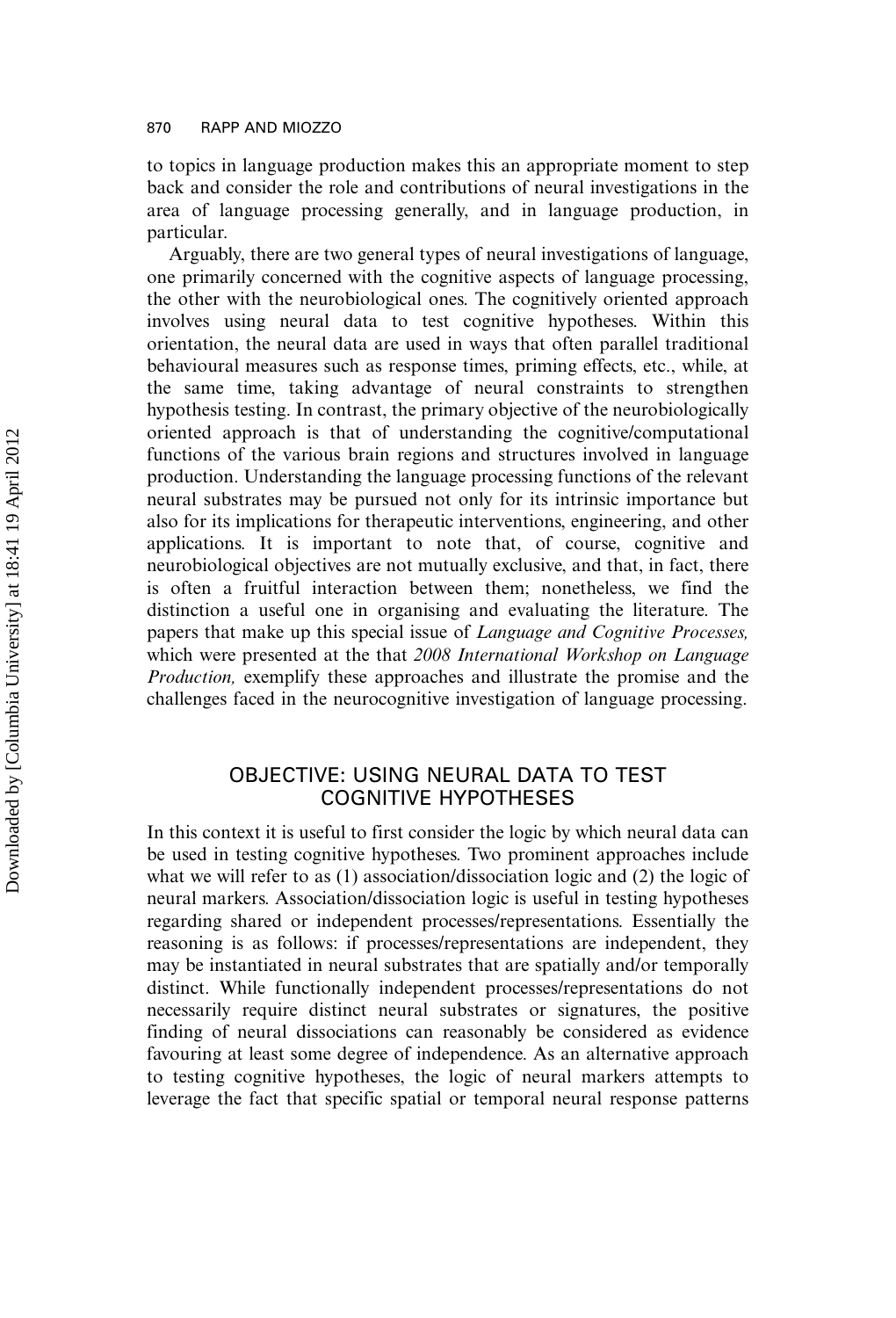to topics in language production makes this an appropriate moment to step back and consider the role and contributions of neural investigations in the area of language processing generally, and in language production, in particular.

Arguably, there are two general types of neural investigations of language, one primarily concerned with the cognitive aspects of language processing, the other with the neurobiological ones. The cognitively oriented approach involves using neural data to test cognitive hypotheses. Within this orientation, the neural data are used in ways that often parallel traditional behavioural measures such as response times, priming effects, etc., while, at the same time, taking advantage of neural constraints to strengthen hypothesis testing. In contrast, the primary objective of the neurobiologically oriented approach is that of understanding the cognitive/computational functions of the various brain regions and structures involved in language production. Understanding the language processing functions of the relevant neural substrates may be pursued not only for its intrinsic importance but also for its implications for therapeutic interventions, engineering, and other applications. It is important to note that, of course, cognitive and neurobiological objectives are not mutually exclusive, and that, in fact, there is often a fruitful interaction between them; nonetheless, we find the distinction a useful one in organising and evaluating the literature. The papers that make up this special issue of Language and Cognitive Processes, which were presented at the that 2008 International Workshop on Language Production, exemplify these approaches and illustrate the promise and the challenges faced in the neurocognitive investigation of language processing.

### OBJECTIVE: USING NEURAL DATA TO TEST COGNITIVE HYPOTHESES

In this context it is useful to first consider the logic by which neural data can be used in testing cognitive hypotheses. Two prominent approaches include what we will refer to as (1) association/dissociation logic and (2) the logic of neural markers. Association/dissociation logic is useful in testing hypotheses regarding shared or independent processes/representations. Essentially the reasoning is as follows: if processes/representations are independent, they may be instantiated in neural substrates that are spatially and/or temporally distinct. While functionally independent processes/representations do not necessarily require distinct neural substrates or signatures, the positive finding of neural dissociations can reasonably be considered as evidence favouring at least some degree of independence. As an alternative approach to testing cognitive hypotheses, the logic of neural markers attempts to leverage the fact that specific spatial or temporal neural response patterns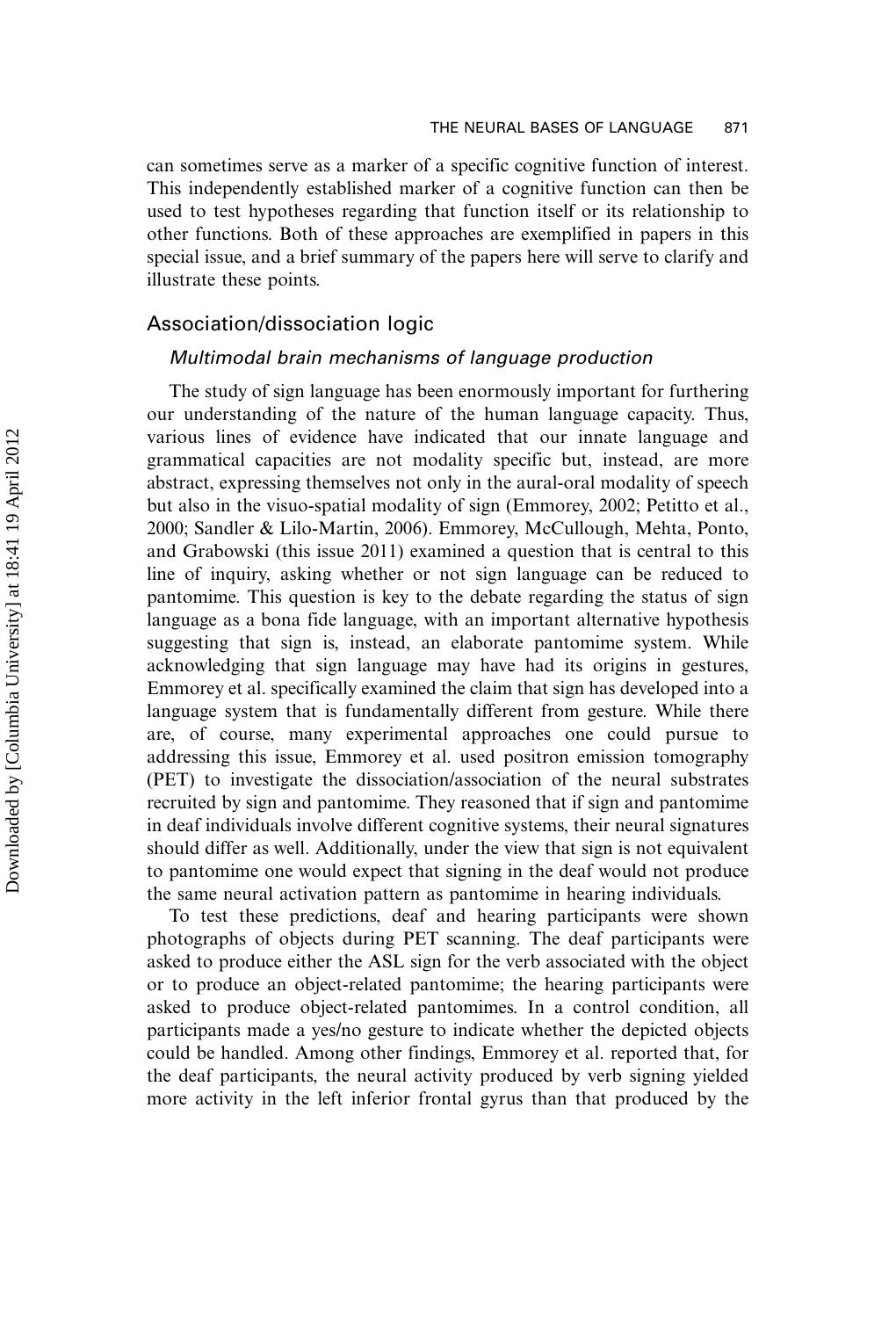can sometimes serve as a marker of a specific cognitive function of interest. This independently established marker of a cognitive function can then be used to test hypotheses regarding that function itself or its relationship to other functions. Both of these approaches are exemplified in papers in this special issue, and a brief summary of the papers here will serve to clarify and illustrate these points.

#### Association/dissociation logic

#### Multimodal brain mechanisms of language production

The study of sign language has been enormously important for furthering our understanding of the nature of the human language capacity. Thus, various lines of evidence have indicated that our innate language and grammatical capacities are not modality specific but, instead, are more abstract, expressing themselves not only in the aural-oral modality of speech but also in the visuo-spatial modality of sign (Emmorey, 2002; Petitto et al., 2000; Sandler & Lilo-Martin, 2006). Emmorey, McCullough, Mehta, Ponto, and Grabowski (this issue 2011) examined a question that is central to this line of inquiry, asking whether or not sign language can be reduced to pantomime. This question is key to the debate regarding the status of sign language as a bona fide language, with an important alternative hypothesis suggesting that sign is, instead, an elaborate pantomime system. While acknowledging that sign language may have had its origins in gestures, Emmorey et al. specifically examined the claim that sign has developed into a language system that is fundamentally different from gesture. While there are, of course, many experimental approaches one could pursue to addressing this issue, Emmorey et al. used positron emission tomography (PET) to investigate the dissociation/association of the neural substrates recruited by sign and pantomime. They reasoned that if sign and pantomime in deaf individuals involve different cognitive systems, their neural signatures should differ as well. Additionally, under the view that sign is not equivalent to pantomime one would expect that signing in the deaf would not produce the same neural activation pattern as pantomime in hearing individuals.

To test these predictions, deaf and hearing participants were shown photographs of objects during PET scanning. The deaf participants were asked to produce either the ASL sign for the verb associated with the object or to produce an object-related pantomime; the hearing participants were asked to produce object-related pantomimes. In a control condition, all participants made a yes/no gesture to indicate whether the depicted objects could be handled. Among other findings, Emmorey et al. reported that, for the deaf participants, the neural activity produced by verb signing yielded more activity in the left inferior frontal gyrus than that produced by the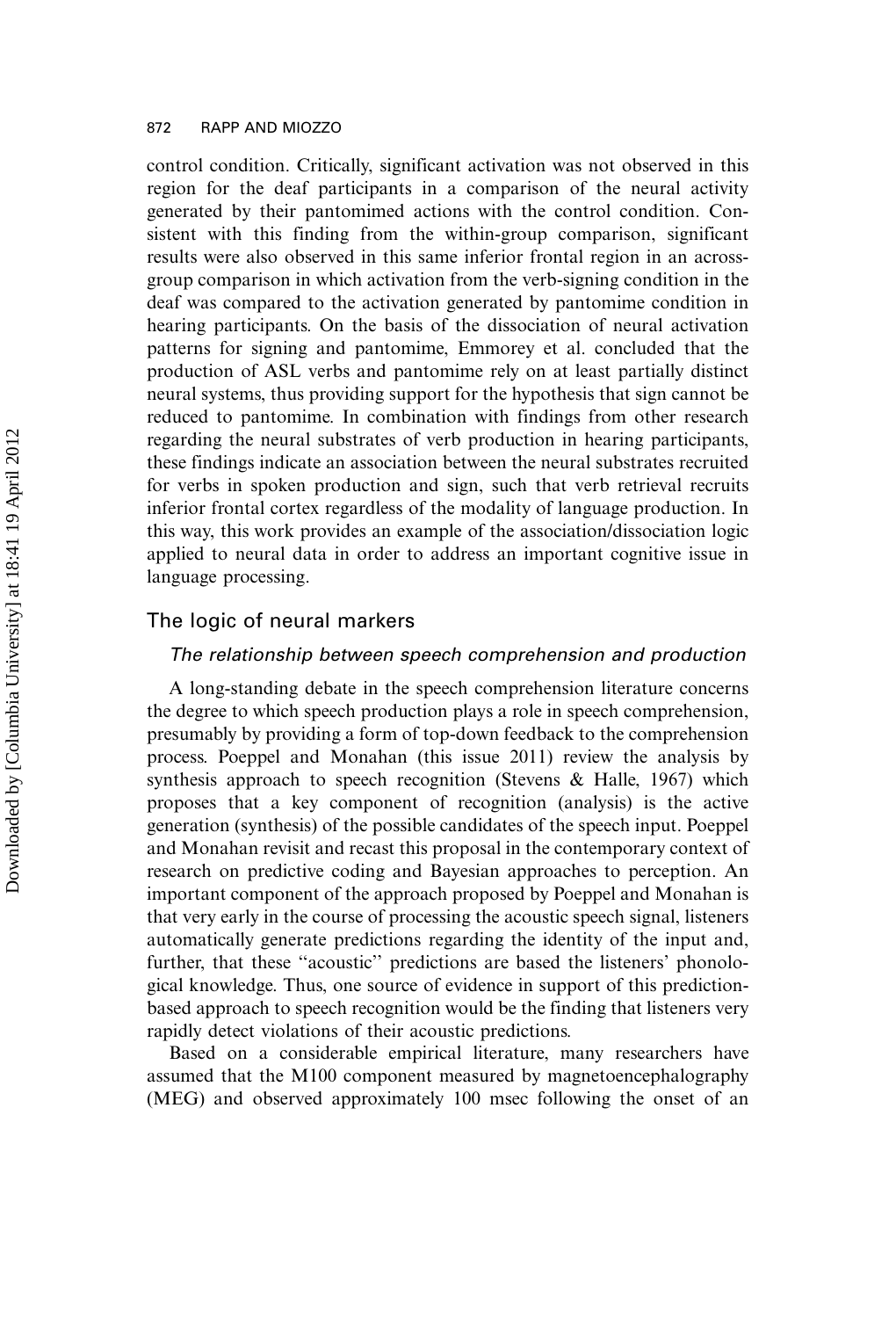control condition. Critically, significant activation was not observed in this region for the deaf participants in a comparison of the neural activity generated by their pantomimed actions with the control condition. Consistent with this finding from the within-group comparison, significant results were also observed in this same inferior frontal region in an acrossgroup comparison in which activation from the verb-signing condition in the deaf was compared to the activation generated by pantomime condition in hearing participants. On the basis of the dissociation of neural activation patterns for signing and pantomime, Emmorey et al. concluded that the production of ASL verbs and pantomime rely on at least partially distinct neural systems, thus providing support for the hypothesis that sign cannot be reduced to pantomime. In combination with findings from other research regarding the neural substrates of verb production in hearing participants, these findings indicate an association between the neural substrates recruited for verbs in spoken production and sign, such that verb retrieval recruits inferior frontal cortex regardless of the modality of language production. In this way, this work provides an example of the association/dissociation logic applied to neural data in order to address an important cognitive issue in language processing.

### The logic of neural markers

#### The relationship between speech comprehension and production

A long-standing debate in the speech comprehension literature concerns the degree to which speech production plays a role in speech comprehension, presumably by providing a form of top-down feedback to the comprehension process. Poeppel and Monahan (this issue 2011) review the analysis by synthesis approach to speech recognition (Stevens & Halle, 1967) which proposes that a key component of recognition (analysis) is the active generation (synthesis) of the possible candidates of the speech input. Poeppel and Monahan revisit and recast this proposal in the contemporary context of research on predictive coding and Bayesian approaches to perception. An important component of the approach proposed by Poeppel and Monahan is that very early in the course of processing the acoustic speech signal, listeners automatically generate predictions regarding the identity of the input and, further, that these ''acoustic'' predictions are based the listeners' phonological knowledge. Thus, one source of evidence in support of this predictionbased approach to speech recognition would be the finding that listeners very rapidly detect violations of their acoustic predictions.

Based on a considerable empirical literature, many researchers have assumed that the M100 component measured by magnetoencephalography (MEG) and observed approximately 100 msec following the onset of an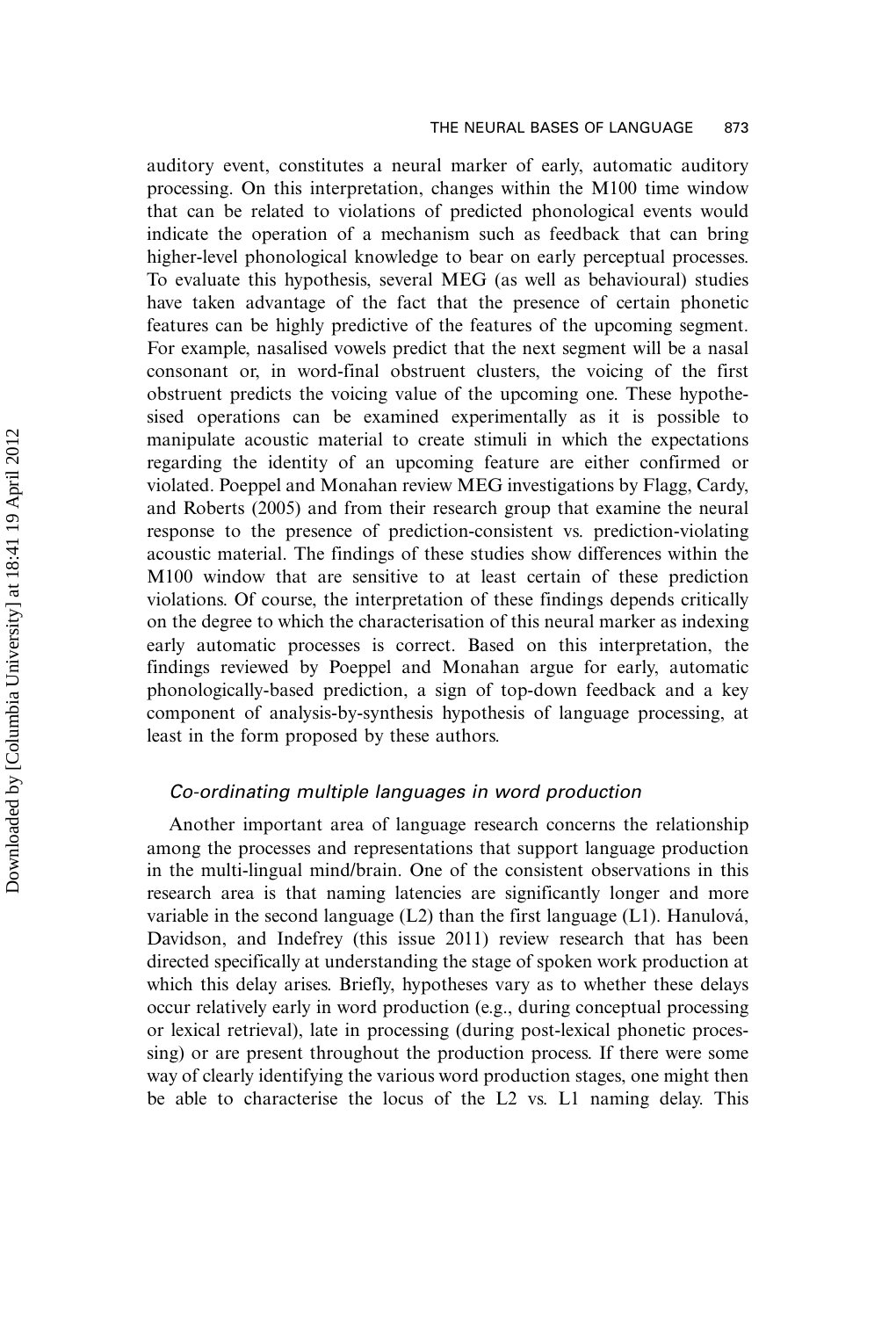auditory event, constitutes a neural marker of early, automatic auditory processing. On this interpretation, changes within the M100 time window that can be related to violations of predicted phonological events would indicate the operation of a mechanism such as feedback that can bring higher-level phonological knowledge to bear on early perceptual processes. To evaluate this hypothesis, several MEG (as well as behavioural) studies have taken advantage of the fact that the presence of certain phonetic features can be highly predictive of the features of the upcoming segment. For example, nasalised vowels predict that the next segment will be a nasal consonant or, in word-final obstruent clusters, the voicing of the first obstruent predicts the voicing value of the upcoming one. These hypothesised operations can be examined experimentally as it is possible to manipulate acoustic material to create stimuli in which the expectations regarding the identity of an upcoming feature are either confirmed or violated. Poeppel and Monahan review MEG investigations by Flagg, Cardy, and Roberts (2005) and from their research group that examine the neural response to the presence of prediction-consistent vs. prediction-violating acoustic material. The findings of these studies show differences within the M100 window that are sensitive to at least certain of these prediction violations. Of course, the interpretation of these findings depends critically on the degree to which the characterisation of this neural marker as indexing early automatic processes is correct. Based on this interpretation, the findings reviewed by Poeppel and Monahan argue for early, automatic phonologically-based prediction, a sign of top-down feedback and a key component of analysis-by-synthesis hypothesis of language processing, at least in the form proposed by these authors.

#### Co-ordinating multiple languages in word production

Another important area of language research concerns the relationship among the processes and representations that support language production in the multi-lingual mind/brain. One of the consistent observations in this research area is that naming latencies are significantly longer and more variable in the second language  $(L2)$  than the first language  $(L1)$ . Hanulová, Davidson, and Indefrey (this issue 2011) review research that has been directed specifically at understanding the stage of spoken work production at which this delay arises. Briefly, hypotheses vary as to whether these delays occur relatively early in word production (e.g., during conceptual processing or lexical retrieval), late in processing (during post-lexical phonetic processing) or are present throughout the production process. If there were some way of clearly identifying the various word production stages, one might then be able to characterise the locus of the L2 vs. L1 naming delay. This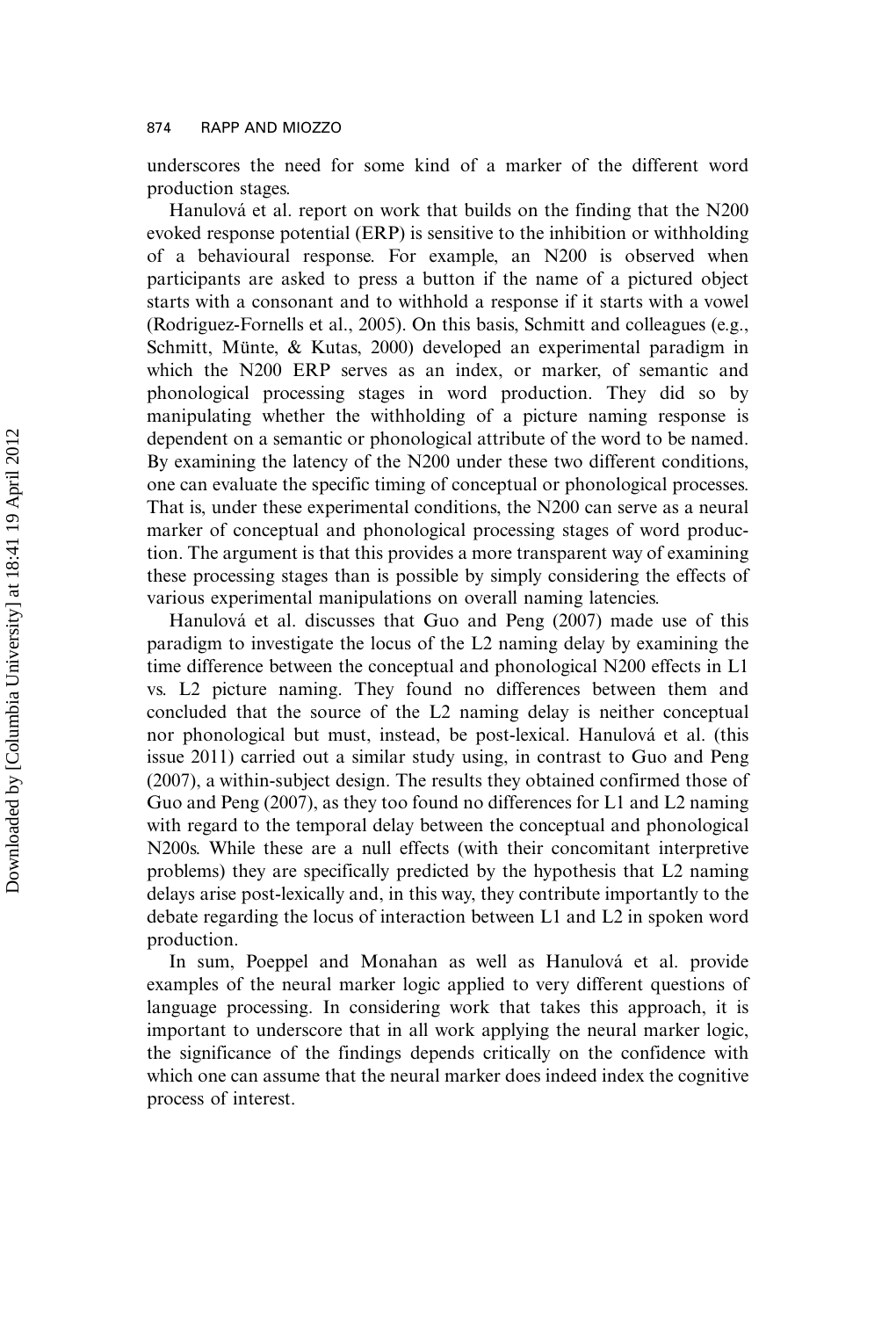underscores the need for some kind of a marker of the different word production stages.

Hanulová et al. report on work that builds on the finding that the N200 evoked response potential (ERP) is sensitive to the inhibition or withholding of a behavioural response. For example, an N200 is observed when participants are asked to press a button if the name of a pictured object starts with a consonant and to withhold a response if it starts with a vowel (Rodriguez-Fornells et al., 2005). On this basis, Schmitt and colleagues (e.g., Schmitt, Münte, & Kutas, 2000) developed an experimental paradigm in which the N200 ERP serves as an index, or marker, of semantic and phonological processing stages in word production. They did so by manipulating whether the withholding of a picture naming response is dependent on a semantic or phonological attribute of the word to be named. By examining the latency of the N200 under these two different conditions, one can evaluate the specific timing of conceptual or phonological processes. That is, under these experimental conditions, the N200 can serve as a neural marker of conceptual and phonological processing stages of word production. The argument is that this provides a more transparent way of examining these processing stages than is possible by simply considering the effects of various experimental manipulations on overall naming latencies.

Hanulová et al. discusses that Guo and Peng (2007) made use of this paradigm to investigate the locus of the L2 naming delay by examining the time difference between the conceptual and phonological N200 effects in L1 vs. L2 picture naming. They found no differences between them and concluded that the source of the L2 naming delay is neither conceptual nor phonological but must, instead, be post-lexical. Hanulová et al. (this issue 2011) carried out a similar study using, in contrast to Guo and Peng (2007), a within-subject design. The results they obtained confirmed those of Guo and Peng (2007), as they too found no differences for L1 and L2 naming with regard to the temporal delay between the conceptual and phonological N200s. While these are a null effects (with their concomitant interpretive problems) they are specifically predicted by the hypothesis that L2 naming delays arise post-lexically and, in this way, they contribute importantly to the debate regarding the locus of interaction between L1 and L2 in spoken word production.

In sum, Poeppel and Monahan as well as Hanulová et al. provide examples of the neural marker logic applied to very different questions of language processing. In considering work that takes this approach, it is important to underscore that in all work applying the neural marker logic, the significance of the findings depends critically on the confidence with which one can assume that the neural marker does indeed index the cognitive process of interest.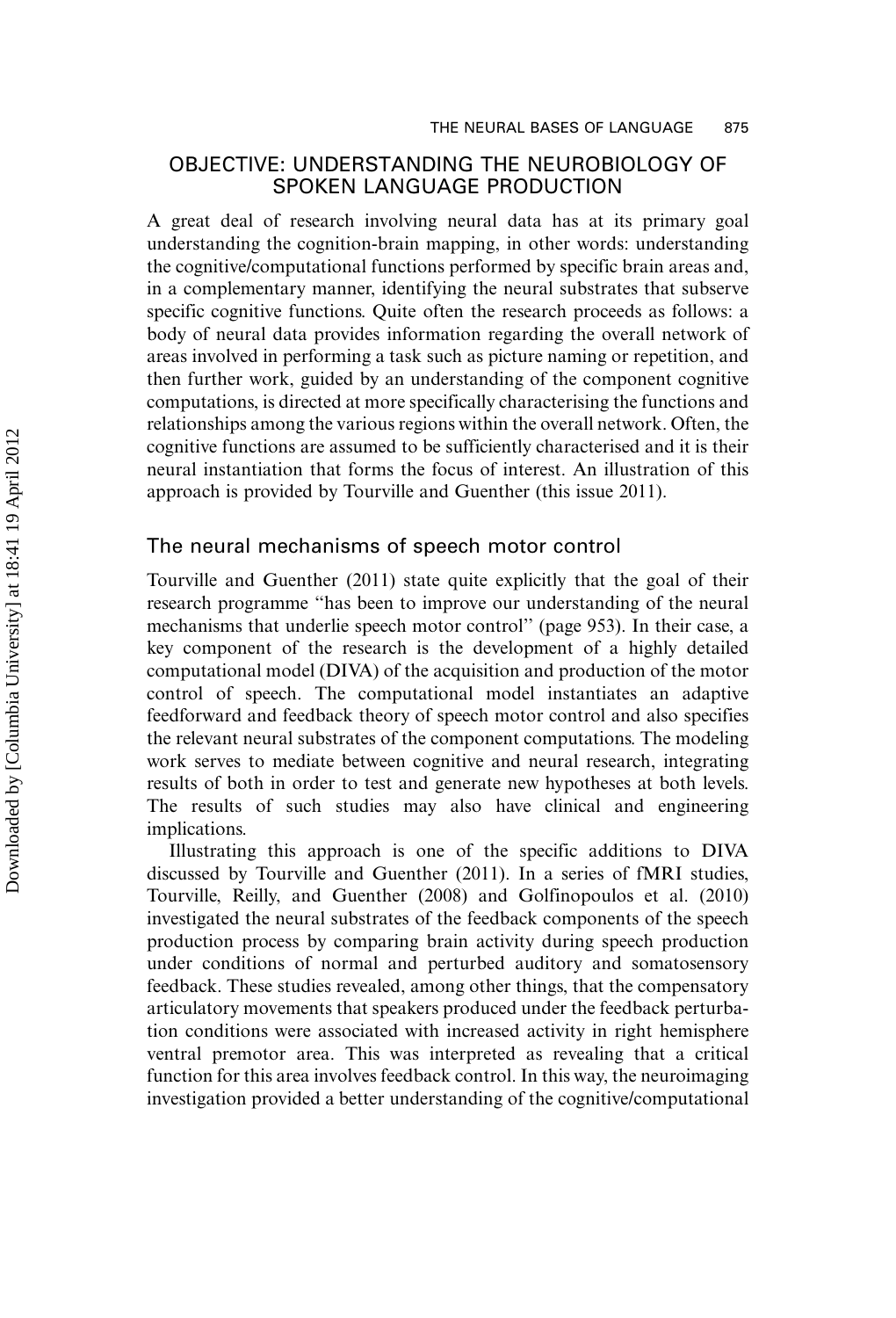## OBJECTIVE: UNDERSTANDING THE NEUROBIOLOGY OF SPOKEN LANGUAGE PRODUCTION

A great deal of research involving neural data has at its primary goal understanding the cognition-brain mapping, in other words: understanding the cognitive/computational functions performed by specific brain areas and, in a complementary manner, identifying the neural substrates that subserve specific cognitive functions. Quite often the research proceeds as follows: a body of neural data provides information regarding the overall network of areas involved in performing a task such as picture naming or repetition, and then further work, guided by an understanding of the component cognitive computations, is directed at more specifically characterising the functions and relationships among the various regions within the overall network. Often, the cognitive functions are assumed to be sufficiently characterised and it is their neural instantiation that forms the focus of interest. An illustration of this approach is provided by Tourville and Guenther (this issue 2011).

#### The neural mechanisms of speech motor control

Tourville and Guenther (2011) state quite explicitly that the goal of their research programme ''has been to improve our understanding of the neural mechanisms that underlie speech motor control'' (page 953). In their case, a key component of the research is the development of a highly detailed computational model (DIVA) of the acquisition and production of the motor control of speech. The computational model instantiates an adaptive feedforward and feedback theory of speech motor control and also specifies the relevant neural substrates of the component computations. The modeling work serves to mediate between cognitive and neural research, integrating results of both in order to test and generate new hypotheses at both levels. The results of such studies may also have clinical and engineering implications.

Illustrating this approach is one of the specific additions to DIVA discussed by Tourville and Guenther (2011). In a series of fMRI studies, Tourville, Reilly, and Guenther (2008) and Golfinopoulos et al. (2010) investigated the neural substrates of the feedback components of the speech production process by comparing brain activity during speech production under conditions of normal and perturbed auditory and somatosensory feedback. These studies revealed, among other things, that the compensatory articulatory movements that speakers produced under the feedback perturbation conditions were associated with increased activity in right hemisphere ventral premotor area. This was interpreted as revealing that a critical function for this area involves feedback control. In this way, the neuroimaging investigation provided a better understanding of the cognitive/computational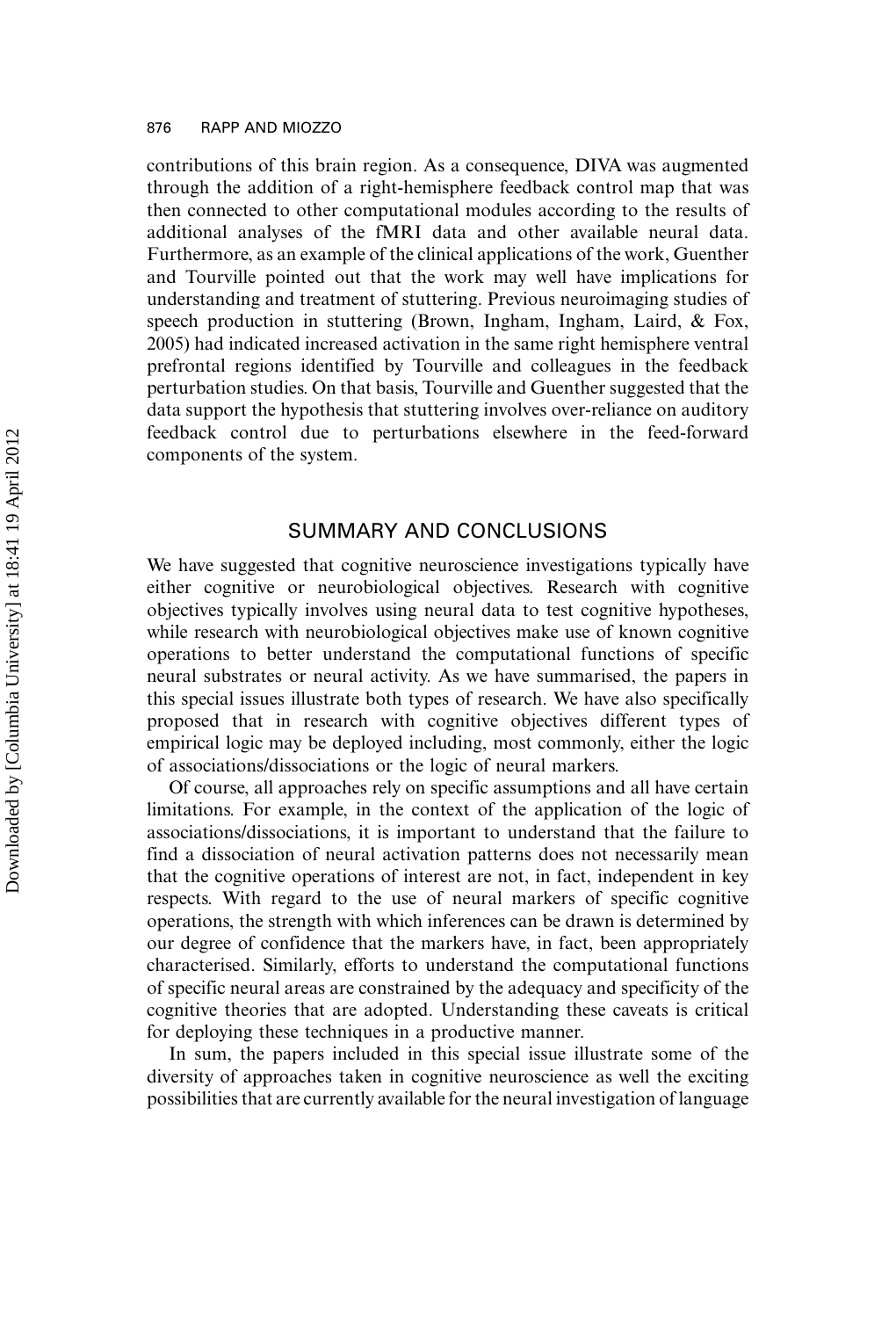#### 876 RAPP AND MIOZZO

contributions of this brain region. As a consequence, DIVA was augmented through the addition of a right-hemisphere feedback control map that was then connected to other computational modules according to the results of additional analyses of the fMRI data and other available neural data. Furthermore, as an example of the clinical applications of the work, Guenther and Tourville pointed out that the work may well have implications for understanding and treatment of stuttering. Previous neuroimaging studies of speech production in stuttering (Brown, Ingham, Ingham, Laird, & Fox, 2005) had indicated increased activation in the same right hemisphere ventral prefrontal regions identified by Tourville and colleagues in the feedback perturbation studies. On that basis, Tourville and Guenther suggested that the data support the hypothesis that stuttering involves over-reliance on auditory feedback control due to perturbations elsewhere in the feed-forward components of the system.

#### SUMMARY AND CONCLUSIONS

We have suggested that cognitive neuroscience investigations typically have either cognitive or neurobiological objectives. Research with cognitive objectives typically involves using neural data to test cognitive hypotheses, while research with neurobiological objectives make use of known cognitive operations to better understand the computational functions of specific neural substrates or neural activity. As we have summarised, the papers in this special issues illustrate both types of research. We have also specifically proposed that in research with cognitive objectives different types of empirical logic may be deployed including, most commonly, either the logic of associations/dissociations or the logic of neural markers.

Of course, all approaches rely on specific assumptions and all have certain limitations. For example, in the context of the application of the logic of associations/dissociations, it is important to understand that the failure to find a dissociation of neural activation patterns does not necessarily mean that the cognitive operations of interest are not, in fact, independent in key respects. With regard to the use of neural markers of specific cognitive operations, the strength with which inferences can be drawn is determined by our degree of confidence that the markers have, in fact, been appropriately characterised. Similarly, efforts to understand the computational functions of specific neural areas are constrained by the adequacy and specificity of the cognitive theories that are adopted. Understanding these caveats is critical for deploying these techniques in a productive manner.

In sum, the papers included in this special issue illustrate some of the diversity of approaches taken in cognitive neuroscience as well the exciting possibilities that are currently available for the neural investigation of language